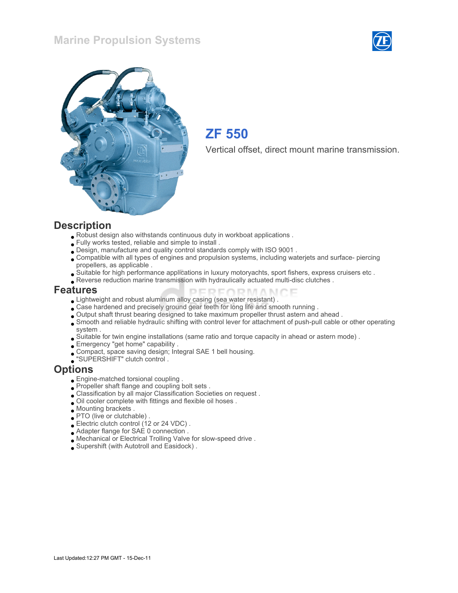### Marine Propulsion Systems





## ZF 550

Vertical offset, direct mount marine transmission.

#### **Description**

- Robust design also withstands continuous duty in workboat applications .
- Fully works tested, reliable and simple to install .
- Design, manufacture and quality control standards comply with ISO 9001 .
- Compatible with all types of engines and propulsion systems, including waterjets and surface- piercing propellers, as applicable .
- Suitable for high performance applications in luxury motoryachts, sport fishers, express cruisers etc .
- Reverse reduction marine transmission with hydraulically actuated multi-disc clutches .

#### Features

- Lightweight and robust aluminum alloy casing (sea water resistant) .
- Case hardened and precisely ground gear teeth for long life and smooth running .
- Output shaft thrust bearing designed to take maximum propeller thrust astern and ahead .
- Smooth and reliable hydraulic shifting with control lever for attachment of push-pull cable or other operating system .

**DEDEADMAN** 

- Suitable for twin engine installations (same ratio and torque capacity in ahead or astern mode) .
- Emergency "get home" capability .
- Compact, space saving design; Integral SAE 1 bell housing.
- "SUPERSHIFT" clutch control .

#### **Options**

- Engine-matched torsional coupling .
- Propeller shaft flange and coupling bolt sets .
- Classification by all major Classification Societies on request .
- Oil cooler complete with fittings and flexible oil hoses .
- Mounting brackets .
- PTO (live or clutchable) .
- Electric clutch control (12 or 24 VDC) .
- Adapter flange for SAE 0 connection.
- Mechanical or Electrical Trolling Valve for slow-speed drive .
- Supershift (with Autotroll and Easidock) .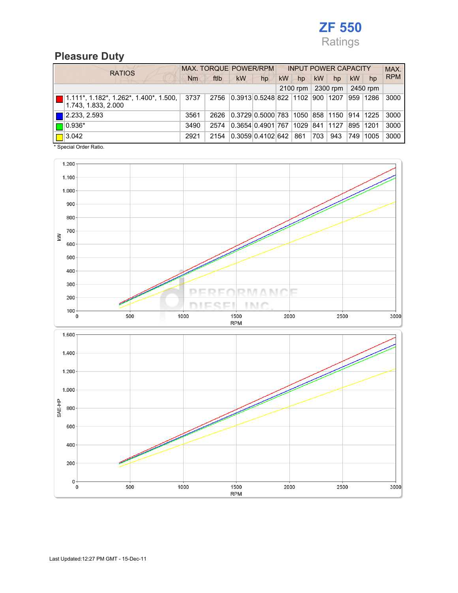

# Pleasure Duty

| <b>RATIOS</b>               | MAX. TORQUE POWER/RPM |      |                                               |    | <b>INPUT POWER CAPACITY</b> |          |           |          |           |          | MAX.       |
|-----------------------------|-----------------------|------|-----------------------------------------------|----|-----------------------------|----------|-----------|----------|-----------|----------|------------|
|                             | Nm                    | ftlb | kW                                            | hp | kW                          | hp       | <b>kW</b> | hp       | <b>kW</b> | hp       | <b>RPM</b> |
|                             |                       |      |                                               |    |                             | 2100 rpm |           | 2300 rpm |           | 2450 rpm |            |
| 1.743, 1.833, 2.000         | 3737                  | 2756 | 0.3913 0.5248 822 1102 900 1207               |    |                             |          |           |          |           | 959 1286 | 3000       |
| $\blacksquare$ 2.233, 2.593 | 3561                  | 2626 | 0.3729 0.5000 783  1050  858  1150  914  1225 |    |                             |          |           |          |           |          | 3000       |
| $\Box$ 0.936*               | 3490                  | 2574 | 0.3654 0.4901 767 1029                        |    |                             |          |           | 841 1127 |           | 895 1201 | 3000       |
| $\boxed{\Box}$ 3.042        | 2921                  | 2154 | 0.3059 0.4102 642   861                       |    |                             |          | 703       | 943      | 749       | 1005     | 3000       |

\* Special Order Ratio.

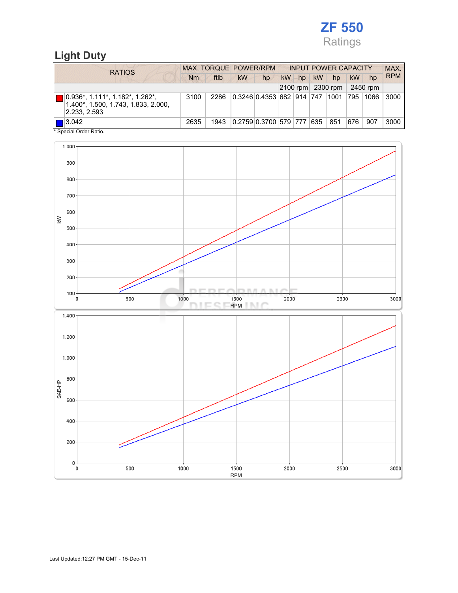# ZF 550 Ratings

## Light Duty

| <b>RATIOS</b>                                                                          | MAX. TORQUE POWER/RPM |      |    |                                   |    | <b>INPUT POWER CAPACITY</b> |           |                   |     |          | MAX.       |
|----------------------------------------------------------------------------------------|-----------------------|------|----|-----------------------------------|----|-----------------------------|-----------|-------------------|-----|----------|------------|
|                                                                                        | Nm                    | ftlb | kW | hp                                | kW | $h$ p                       | <b>kW</b> | hp                | kW  | hp       | <b>RPM</b> |
|                                                                                        |                       |      |    |                                   |    |                             |           | 2100 rpm 2300 rpm |     | 2450 rpm |            |
| 0.936*, 1.111*, 1.182*, 1.262*,<br>1.400*, 1.500, 1.743, 1.833, 2.000,<br>2.233, 2.593 | 3100                  | 2286 |    | 0.3246 0.4353 682  914  747  1001 |    |                             |           |                   | 795 | 1066     | 3000       |
| $\blacksquare$ 3.042<br>$*$ On a simil Onder Definition                                | 2635                  | 1943 |    | 0.2759 0.3700 579  777  635       |    |                             |           | 851               | 676 | 907      | 3000       |

Special Order Ratio.

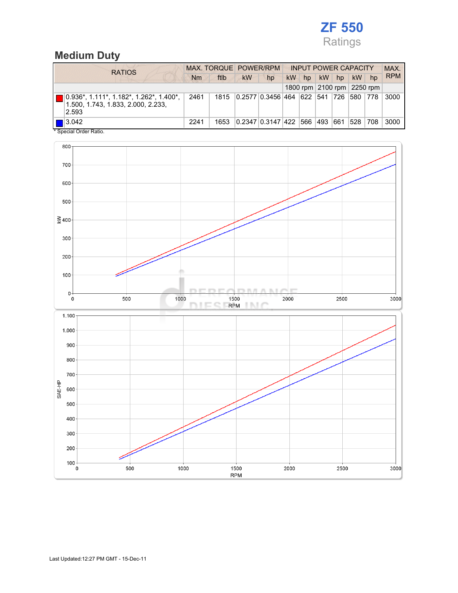# ZF 550 Ratings

## Medium Duty

| <b>RATIOS</b>                                                                              |      | MAX. TORQUE POWER/RPM | <b>INPUT POWER CAPACITY</b> |                   |    |             |     | MAX. |           |                            |            |
|--------------------------------------------------------------------------------------------|------|-----------------------|-----------------------------|-------------------|----|-------------|-----|------|-----------|----------------------------|------------|
|                                                                                            | Nm   | ftlb                  | <b>kW</b>                   | hp                | kW | hp          | kW  | hp   | <b>kW</b> | hp                         | <b>RPM</b> |
|                                                                                            |      |                       |                             |                   |    |             |     |      |           | 1800 rpm 2100 rpm 2250 rpm |            |
| $0.936^*$ , 1.111*, 1.182*, 1.262*, 1.400*,<br>1.500, 1.743, 1.833, 2.000, 2.233,<br>2.593 | 2461 | 1815                  |                             | 0.2577 0.3456 464 |    | 622 541 726 |     |      | 580       | 778                        | 3000       |
| 3.042<br>* Conniel Order Datio                                                             | 2241 | 1653                  |                             | 0.2347 0.3147 422 |    | 566         | 493 | 661  | 528       | 708                        | 3000       |

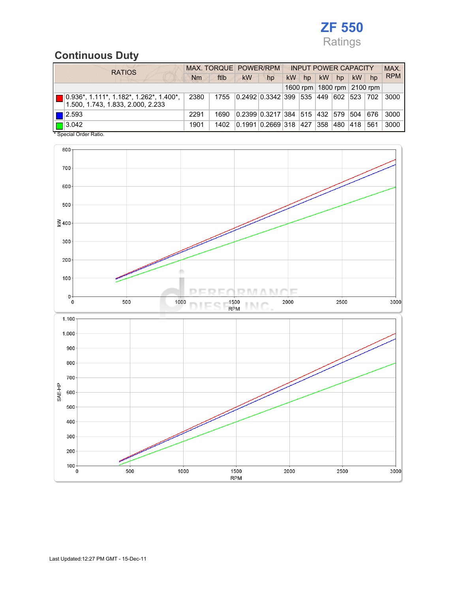# ZF 550 Ratings

# Continuous Duty

|                  | <b>RATIOS</b>                                                                        |      | MAX. TORQUE POWER/RPM |           |                                              |           |    | <b>INPUT POWER CAPACITY</b> |     |           |                                |            |  |
|------------------|--------------------------------------------------------------------------------------|------|-----------------------|-----------|----------------------------------------------|-----------|----|-----------------------------|-----|-----------|--------------------------------|------------|--|
|                  |                                                                                      |      | ftlb                  | <b>kW</b> | hp                                           | <b>kW</b> | hp | <b>kW</b>                   | hp  | <b>kW</b> | hp                             | <b>RPM</b> |  |
|                  |                                                                                      |      |                       |           |                                              |           |    |                             |     |           | 1600 rpm   1800 rpm   2100 rpm |            |  |
| <b>TERRITORY</b> | $\vert$ 0.936*, 1.111*, 1.182*, 1.262*, 1.400*,<br>1.500, 1.743, 1.833, 2.000, 2.233 | 2380 | 1755                  |           | 0.2492  0.3342   399   535   449   602   523 |           |    |                             |     |           | 702                            | 3000       |  |
|                  | $\blacksquare$  2.593                                                                | 2291 | 1690                  |           | 0.2399 0.3217 384  515  432  579             |           |    |                             |     | 504       | 676                            | 3000       |  |
|                  | $\boxed{\Box}$ 3.042                                                                 | 1901 | 1402                  |           | 0.1991   0.2669   318   427                  |           |    | 358                         | 480 | 418       | 561                            | 3000       |  |
|                  | * Special Order Ratio.                                                               |      |                       |           |                                              |           |    |                             |     |           |                                |            |  |

800 700 600 500  $\geq 400$ 300 200  $100<sub>1</sub>$ m  $D, T, \ell$ T. л  $\mathbf 0$ 1500<br>RPM 1000 2000 2500 3000  $\overline{\mathbf{0}}$ 500 **INC** 1.100  $1.000 \cdot$  $900 -$ 800 700 SAE-HP 600 500 400  $300<sub>1</sub>$  $200 \begin{array}{c}\n100 \\
0\n\end{array}$ 500 1000 1500 2000 2500 3000 **RPM**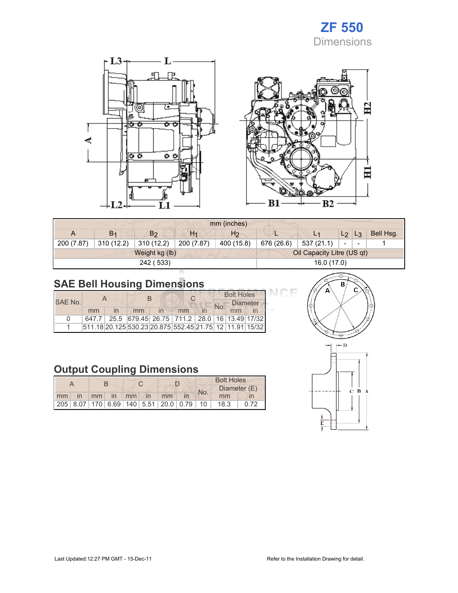

 $\Xi$ 

日



|            | mm (inches)    |                |                |                            |            |            |                |                          |           |
|------------|----------------|----------------|----------------|----------------------------|------------|------------|----------------|--------------------------|-----------|
| A          | B <sub>1</sub> | B <sub>2</sub> | H <sub>1</sub> | H <sub>2</sub>             | ட          |            | L <sub>2</sub> | $L_3$                    | Bell Hsg. |
| 200 (7.87) | 310 (12.2)     | 310(12.2)      | 200 (7.87)     | 400 (15.8)                 | 676 (26.6) | 537 (21.1) | $\equiv$       | $\overline{\phantom{0}}$ |           |
|            |                | Weight kg (lb) |                | Oil Capacity Litre (US qt) |            |            |                |                          |           |
|            |                | 242 (533)      | 16.0 (17.0)    |                            |            |            |                |                          |           |

# SAE Bell Housing Dimensions

|                |    |                         |                                                         |    | <b>Bolt Holes</b> |                 |  |  |
|----------------|----|-------------------------|---------------------------------------------------------|----|-------------------|-----------------|--|--|
| <b>SAE No.</b> |    |                         |                                                         |    | No.               | <b>Diameter</b> |  |  |
|                | mm | $\overline{\mathsf{I}}$ | mm                                                      | mm |                   | mm              |  |  |
| $\Omega$       |    |                         | 647.7 25.5 679.45 26.75 711.2 28.0 16 13.49 17/32       |    |                   |                 |  |  |
|                |    |                         | 511.18 20.125 530.23 20.875 552.45 21.75 12 11.91 15/32 |    |                   |                 |  |  |

## Output Coupling Dimensions

|                      |  |  |  | <b>Bolt Holes</b>                       |  |     |              |      |  |
|----------------------|--|--|--|-----------------------------------------|--|-----|--------------|------|--|
|                      |  |  |  |                                         |  | No. | Diameter (E) |      |  |
| mm in mm in mm in mm |  |  |  |                                         |  |     | mm           |      |  |
|                      |  |  |  | 205 8.07 170 6.69 140 5.51 20.0 0.79 10 |  |     | 18.3         | 0.72 |  |



3Ė

 $B2$